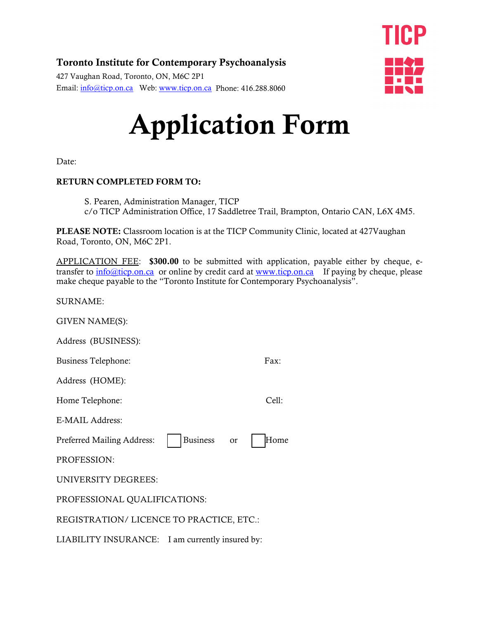#### Toronto Institute for Contemporary Psychoanalysis

427 Vaughan Road, Toronto, ON, M6C 2P1 Email: [info@ticp.on.ca](mailto:info@ticp.on.ca) Web: [www.ticp.on.ca](http://www.ticp.on.ca/) Phone: 416.288.8060



# Application Form

Date:

#### RETURN COMPLETED FORM TO:

S. Pearen, Administration Manager, TICP c/o TICP Administration Office, 17 Saddletree Trail, Brampton, Ontario CAN, L6X 4M5.

PLEASE NOTE: Classroom location is at the TICP Community Clinic, located at 427Vaughan Road, Toronto, ON, M6C 2P1.

APPLICATION FEE: \$300.00 to be submitted with application, payable either by cheque, etransfer to  $\frac{info@ticoon.ca}{info@ticoon.ca}$  or online by credit card at [www.ticp.on.ca](http://www.ticp.on.ca/) If paying by cheque, please make cheque payable to the "Toronto Institute for Contemporary Psychoanalysis".

SURNAME:

GIVEN NAME(S):

Address (BUSINESS):

Business Telephone: Fax:

Address (HOME):

Home Telephone: Cell:

E-MAIL Address:

Preferred Mailing Address: | | Business or | | Home

PROFESSION:

UNIVERSITY DEGREES:

PROFESSIONAL QUALIFICATIONS:

REGISTRATION/ LICENCE TO PRACTICE, ETC.:

LIABILITY INSURANCE: I am currently insured by: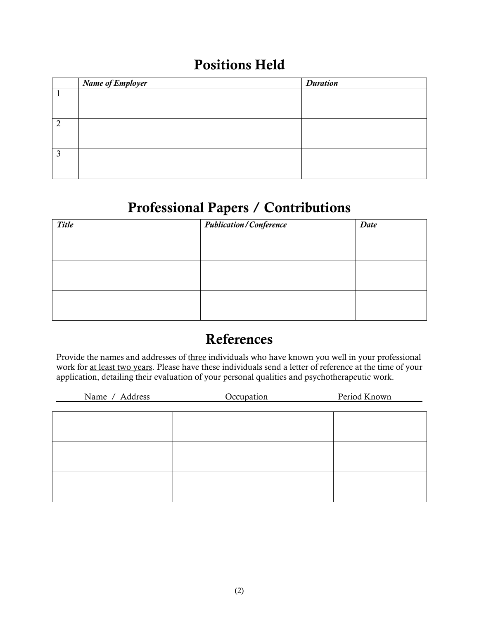#### Positions Held

|   | Name of Employer | <b>Duration</b> |
|---|------------------|-----------------|
|   |                  |                 |
|   |                  |                 |
|   |                  |                 |
| 2 |                  |                 |
|   |                  |                 |
|   |                  |                 |
| 3 |                  |                 |
|   |                  |                 |
|   |                  |                 |

#### Professional Papers / Contributions

| <b>Title</b> | <b>Publication / Conference</b> |  |
|--------------|---------------------------------|--|
|              |                                 |  |
|              |                                 |  |
|              |                                 |  |
|              |                                 |  |
|              |                                 |  |
|              |                                 |  |

#### References

Provide the names and addresses of three individuals who have known you well in your professional work for at least two years. Please have these individuals send a letter of reference at the time of your application, detailing their evaluation of your personal qualities and psychotherapeutic work.

| Name / Address | Occupation | Period Known |
|----------------|------------|--------------|
|                |            |              |
|                |            |              |
|                |            |              |
|                |            |              |
|                |            |              |
|                |            |              |
|                |            |              |
|                |            |              |
|                |            |              |
|                |            |              |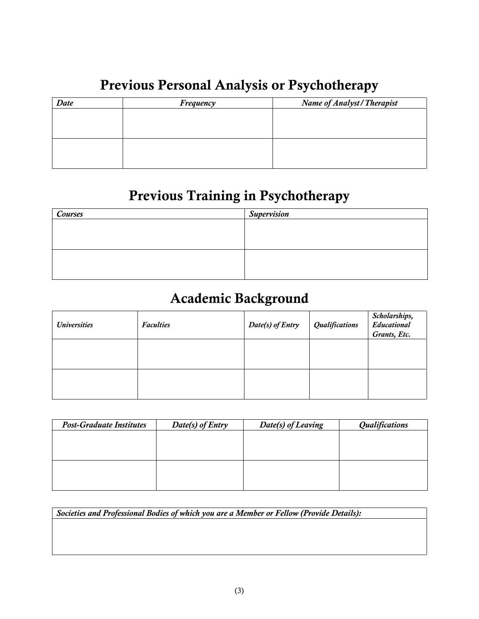### Previous Personal Analysis or Psychotherapy

| Date | Frequency | <b>Name of Analyst/Therapist</b> |
|------|-----------|----------------------------------|
|      |           |                                  |
|      |           |                                  |
|      |           |                                  |
|      |           |                                  |
|      |           |                                  |
|      |           |                                  |

## Previous Training in Psychotherapy

| Courses | <b>Supervision</b> |
|---------|--------------------|
|         |                    |
|         |                    |
|         |                    |
|         |                    |
|         |                    |

#### Academic Background

| <b>Universities</b> | <b>Faculties</b> | Date(s) of Entry | Qualifications | Scholarships,<br>Educational<br>Grants, Etc. |
|---------------------|------------------|------------------|----------------|----------------------------------------------|
|                     |                  |                  |                |                                              |
|                     |                  |                  |                |                                              |

| <b>Post-Graduate Institutes</b> | Date(s) of Entry | Date(s) of Leaving | <b>Qualifications</b> |
|---------------------------------|------------------|--------------------|-----------------------|
|                                 |                  |                    |                       |
|                                 |                  |                    |                       |
|                                 |                  |                    |                       |
|                                 |                  |                    |                       |
|                                 |                  |                    |                       |
|                                 |                  |                    |                       |

*Societies and Professional Bodies of which you are a Member or Fellow (Provide Details):*